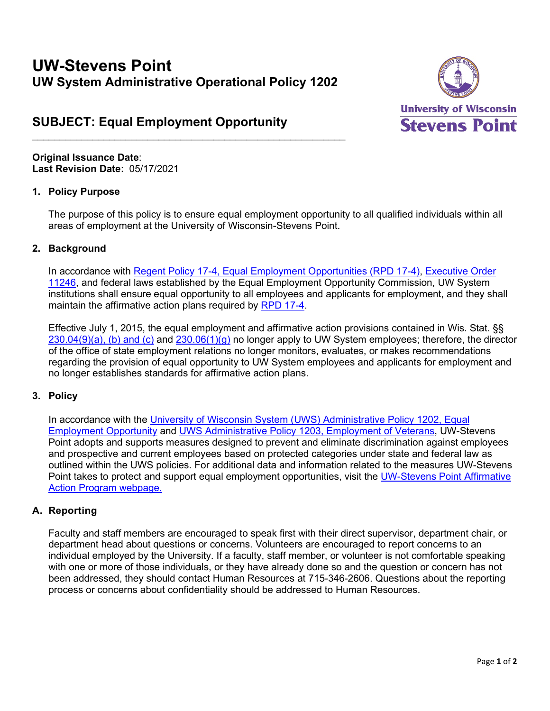# **UW-Stevens Point UW System Administrative Operational Policy 1202**

 $\frac{1}{2}$  ,  $\frac{1}{2}$  ,  $\frac{1}{2}$  ,  $\frac{1}{2}$  ,  $\frac{1}{2}$  ,  $\frac{1}{2}$  ,  $\frac{1}{2}$  ,  $\frac{1}{2}$  ,  $\frac{1}{2}$  ,  $\frac{1}{2}$  ,  $\frac{1}{2}$  ,  $\frac{1}{2}$  ,  $\frac{1}{2}$  ,  $\frac{1}{2}$  ,  $\frac{1}{2}$  ,  $\frac{1}{2}$  ,  $\frac{1}{2}$  ,  $\frac{1}{2}$  ,  $\frac{1$ 



## **SUBJECT: Equal Employment Opportunity**

**Original Issuance Date**: **Last Revision Date:** 05/17/2021

#### **1. Policy Purpose**

The purpose of this policy is to ensure equal employment opportunity to all qualified individuals within all areas of employment at the University of Wisconsin-Stevens Point.

### **2. Background**

In accordance with [Regent Policy 17-4, Equal Employment Opportunities \(RPD 17-4\),](https://www.wisconsin.edu/regents/policies/equal-employment-opportunities/) Executive Order [11246,](http://www.dol.gov/ofccp/regs/compliance/ca_11246.htm#.UPXN13l15RU) and federal laws established by the Equal Employment Opportunity Commission, UW System institutions shall ensure equal opportunity to all employees and applicants for employment, and they shall maintain the affirmative action plans required by [RPD 17-4.](https://www.wisconsin.edu/regents/policies/equal-employment-opportunities/)

Effective July 1, 2015, the equal employment and affirmative action provisions contained in Wis. Stat. §§ [230.04\(9\)\(a\), \(b\) and \(c\)](https://docs.legis.wisconsin.gov/statutes/statutes/230/I/04) and [230.06\(1\)\(g\)](https://docs.legis.wisconsin.gov/statutes/statutes/230/II/06) no longer apply to UW System employees; therefore, the director of the office of state employment relations no longer monitors, evaluates, or makes recommendations regarding the provision of equal opportunity to UW System employees and applicants for employment and no longer establishes standards for affirmative action plans.

## **3. Policy**

In accordance with the University of Wisconsin System (UWS) Administrative Policy 1202, Equal [Employment Opportunity](https://www.wisconsin.edu/uw-policies/uw-system-administrative-policies/equal-employment-opportunity/) and [UWS Administrative Policy 1203, Employment of Veterans,](https://www.wisconsin.edu/uw-policies/uw-system-administrative-policies/employment-of-veterans/) UW-Stevens Point adopts and supports measures designed to prevent and eliminate discrimination against employees and prospective and current employees based on protected categories under state and federal law as outlined within the UWS policies. For additional data and information related to the measures UW-Stevens Point takes to protect and support equal employment opportunities, visit the [UW-Stevens Point Affirmative](https://www.uwsp.edu/hr/Pages/Affirmative%20Action/affirmative-action-program.aspx)  [Action Program webpage.](https://www.uwsp.edu/hr/Pages/Affirmative%20Action/affirmative-action-program.aspx)

## **A. Reporting**

Faculty and staff members are encouraged to speak first with their direct supervisor, department chair, or department head about questions or concerns. Volunteers are encouraged to report concerns to an individual employed by the University. If a faculty, staff member, or volunteer is not comfortable speaking with one or more of those individuals, or they have already done so and the question or concern has not been addressed, they should contact Human Resources at 715-346-2606. Questions about the reporting process or concerns about confidentiality should be addressed to Human Resources.